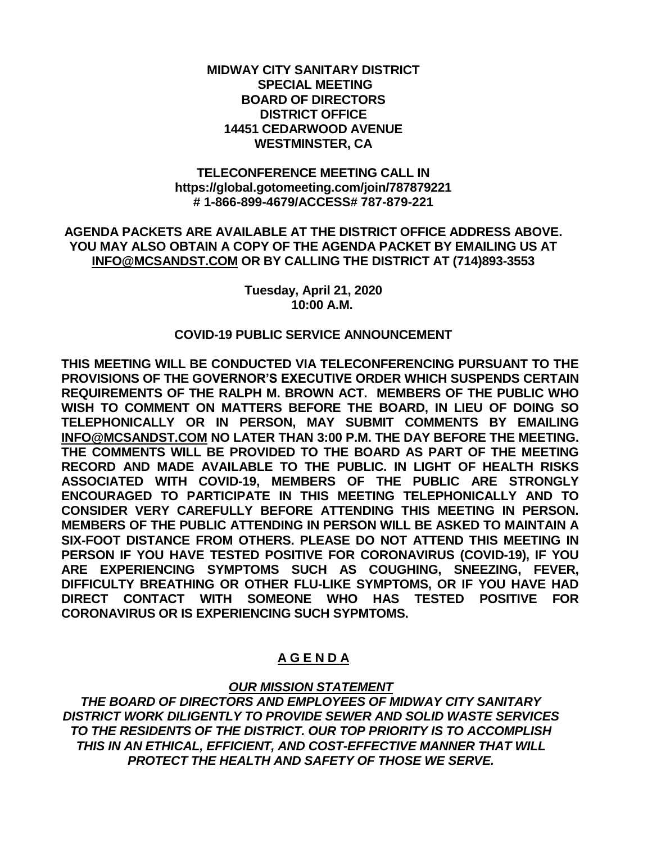#### **MIDWAY CITY SANITARY DISTRICT SPECIAL MEETING BOARD OF DIRECTORS DISTRICT OFFICE 14451 CEDARWOOD AVENUE WESTMINSTER, CA**

## **TELECONFERENCE MEETING CALL IN https://global.gotomeeting.com/join/787879221 # 1-866-899-4679/ACCESS# 787-879-221**

## **AGENDA PACKETS ARE AVAILABLE AT THE DISTRICT OFFICE ADDRESS ABOVE. YOU MAY ALSO OBTAIN A COPY OF THE AGENDA PACKET BY EMAILING US AT [INFO@MCSANDST.COM](mailto:INFO@MCSANDST.COM) OR BY CALLING THE DISTRICT AT (714)893-3553**

**Tuesday, April 21, 2020 10:00 A.M.**

## **COVID-19 PUBLIC SERVICE ANNOUNCEMENT**

**THIS MEETING WILL BE CONDUCTED VIA TELECONFERENCING PURSUANT TO THE PROVISIONS OF THE GOVERNOR'S EXECUTIVE ORDER WHICH SUSPENDS CERTAIN REQUIREMENTS OF THE RALPH M. BROWN ACT. MEMBERS OF THE PUBLIC WHO WISH TO COMMENT ON MATTERS BEFORE THE BOARD, IN LIEU OF DOING SO TELEPHONICALLY OR IN PERSON, MAY SUBMIT COMMENTS BY EMAILING [INFO@MCSANDST.COM](mailto:INFO@MCSANDST.COM) NO LATER THAN 3:00 P.M. THE DAY BEFORE THE MEETING. THE COMMENTS WILL BE PROVIDED TO THE BOARD AS PART OF THE MEETING RECORD AND MADE AVAILABLE TO THE PUBLIC. IN LIGHT OF HEALTH RISKS ASSOCIATED WITH COVID-19, MEMBERS OF THE PUBLIC ARE STRONGLY ENCOURAGED TO PARTICIPATE IN THIS MEETING TELEPHONICALLY AND TO CONSIDER VERY CAREFULLY BEFORE ATTENDING THIS MEETING IN PERSON. MEMBERS OF THE PUBLIC ATTENDING IN PERSON WILL BE ASKED TO MAINTAIN A SIX-FOOT DISTANCE FROM OTHERS. PLEASE DO NOT ATTEND THIS MEETING IN PERSON IF YOU HAVE TESTED POSITIVE FOR CORONAVIRUS (COVID-19), IF YOU ARE EXPERIENCING SYMPTOMS SUCH AS COUGHING, SNEEZING, FEVER, DIFFICULTY BREATHING OR OTHER FLU-LIKE SYMPTOMS, OR IF YOU HAVE HAD DIRECT CONTACT WITH SOMEONE WHO HAS TESTED POSITIVE FOR CORONAVIRUS OR IS EXPERIENCING SUCH SYPMTOMS.** 

# **A G E N D A**

# *OUR MISSION STATEMENT*

*THE BOARD OF DIRECTORS AND EMPLOYEES OF MIDWAY CITY SANITARY DISTRICT WORK DILIGENTLY TO PROVIDE SEWER AND SOLID WASTE SERVICES TO THE RESIDENTS OF THE DISTRICT. OUR TOP PRIORITY IS TO ACCOMPLISH THIS IN AN ETHICAL, EFFICIENT, AND COST-EFFECTIVE MANNER THAT WILL PROTECT THE HEALTH AND SAFETY OF THOSE WE SERVE.*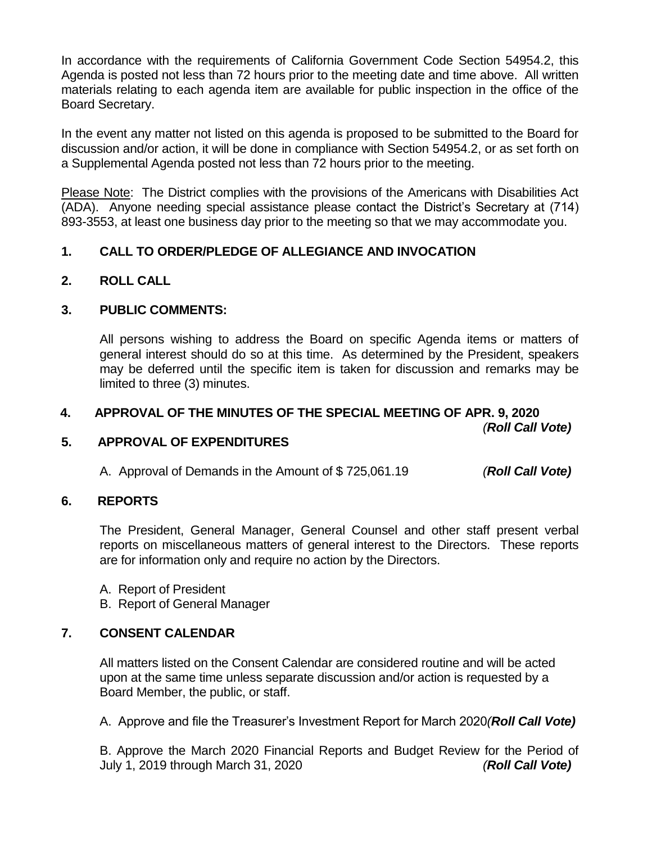In accordance with the requirements of California Government Code Section 54954.2, this Agenda is posted not less than 72 hours prior to the meeting date and time above. All written materials relating to each agenda item are available for public inspection in the office of the Board Secretary.

In the event any matter not listed on this agenda is proposed to be submitted to the Board for discussion and/or action, it will be done in compliance with Section 54954.2, or as set forth on a Supplemental Agenda posted not less than 72 hours prior to the meeting.

Please Note: The District complies with the provisions of the Americans with Disabilities Act (ADA). Anyone needing special assistance please contact the District's Secretary at (714) 893-3553, at least one business day prior to the meeting so that we may accommodate you.

## **1. CALL TO ORDER/PLEDGE OF ALLEGIANCE AND INVOCATION**

## **2. ROLL CALL**

## **3. PUBLIC COMMENTS:**

All persons wishing to address the Board on specific Agenda items or matters of general interest should do so at this time. As determined by the President, speakers may be deferred until the specific item is taken for discussion and remarks may be limited to three (3) minutes.

## **4. APPROVAL OF THE MINUTES OF THE SPECIAL MEETING OF APR. 9, 2020**

*(Roll Call Vote)*

## **5. APPROVAL OF EXPENDITURES**

A. Approval of Demands in the Amount of \$ 725,061.19 *(Roll Call Vote)*

## **6. REPORTS**

The President, General Manager, General Counsel and other staff present verbal reports on miscellaneous matters of general interest to the Directors. These reports are for information only and require no action by the Directors.

A. Report of President

B. Report of General Manager

## **7. CONSENT CALENDAR**

All matters listed on the Consent Calendar are considered routine and will be acted upon at the same time unless separate discussion and/or action is requested by a Board Member, the public, or staff.

A. Approve and file the Treasurer's Investment Report for March 2020*(Roll Call Vote)*

B. Approve the March 2020 Financial Reports and Budget Review for the Period of July 1, 2019 through March 31, 2020 *(Roll Call Vote)*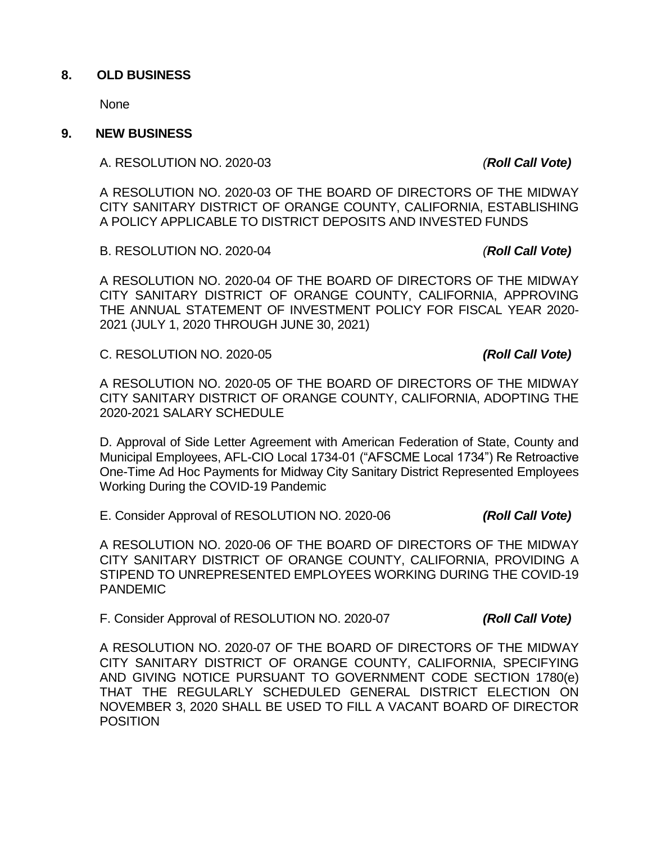## **8. OLD BUSINESS**

None

#### **9. NEW BUSINESS**

A. RESOLUTION NO. 2020-03 *(Roll Call Vote)*

A RESOLUTION NO. 2020-03 OF THE BOARD OF DIRECTORS OF THE MIDWAY CITY SANITARY DISTRICT OF ORANGE COUNTY, CALIFORNIA, ESTABLISHING A POLICY APPLICABLE TO DISTRICT DEPOSITS AND INVESTED FUNDS

B. RESOLUTION NO. 2020-04 *(Roll Call Vote)*

A RESOLUTION NO. 2020-04 OF THE BOARD OF DIRECTORS OF THE MIDWAY CITY SANITARY DISTRICT OF ORANGE COUNTY, CALIFORNIA, APPROVING THE ANNUAL STATEMENT OF INVESTMENT POLICY FOR FISCAL YEAR 2020- 2021 (JULY 1, 2020 THROUGH JUNE 30, 2021)

C. RESOLUTION NO. 2020-05 *(Roll Call Vote)*

A RESOLUTION NO. 2020-05 OF THE BOARD OF DIRECTORS OF THE MIDWAY CITY SANITARY DISTRICT OF ORANGE COUNTY, CALIFORNIA, ADOPTING THE 2020-2021 SALARY SCHEDULE

D. Approval of Side Letter Agreement with American Federation of State, County and Municipal Employees, AFL-CIO Local 1734-01 ("AFSCME Local 1734") Re Retroactive One-Time Ad Hoc Payments for Midway City Sanitary District Represented Employees Working During the COVID-19 Pandemic

E. Consider Approval of RESOLUTION NO. 2020-06 *(Roll Call Vote)*

A RESOLUTION NO. 2020-06 OF THE BOARD OF DIRECTORS OF THE MIDWAY CITY SANITARY DISTRICT OF ORANGE COUNTY, CALIFORNIA, PROVIDING A STIPEND TO UNREPRESENTED EMPLOYEES WORKING DURING THE COVID-19 PANDEMIC

F. Consider Approval of RESOLUTION NO. 2020-07 *(Roll Call Vote)*

A RESOLUTION NO. 2020-07 OF THE BOARD OF DIRECTORS OF THE MIDWAY CITY SANITARY DISTRICT OF ORANGE COUNTY, CALIFORNIA, SPECIFYING AND GIVING NOTICE PURSUANT TO GOVERNMENT CODE SECTION 1780(e) THAT THE REGULARLY SCHEDULED GENERAL DISTRICT ELECTION ON NOVEMBER 3, 2020 SHALL BE USED TO FILL A VACANT BOARD OF DIRECTOR **POSITION**